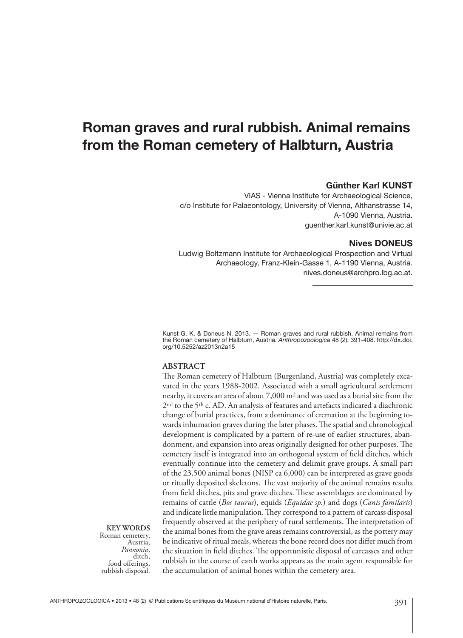# **Roman graves and rural rubbish. Animal remains from the Roman cemetery of Halbturn, Austria**

#### **Günther Karl KUNST**

VIAS - Vienna Institute for Archaeological Science, c/o Institute for Palaeontology, University of Vienna, Althanstrasse 14, A-1090 Vienna, Austria. guenther.karl.kunst@univie.ac.at

#### **Nives DONEUS**

Ludwig Boltzmann Institute for Archaeological Prospection and Virtual Archaeology, Franz-Klein-Gasse 1, A-1190 Vienna, Austria. nives.doneus@archpro.lbg.ac.at.

Kunst G. K. & Doneus N. 2013. — Roman graves and rural rubbish. Animal remains from the Roman cemetery of Halbturn, Austria. *Anthropozoologica* 48 (2): 391-408. http://dx.doi. org/10.5252/az2013n2a15

#### **ABSTRACT**

The Roman cemetery of Halbturn (Burgenland, Austria) was completely excavated in the years 1988-2002. Associated with a small agricultural settlement nearby, it covers an area of about 7,000 m2 and was used as a burial site from the 2nd to the 5th c. AD. An analysis of features and artefacts indicated a diachronic change of burial practices, from a dominance of cremation at the beginning towards inhumation graves during the later phases. The spatial and chronological development is complicated by a pattern of re-use of earlier structures, abandonment, and expansion into areas originally designed for other purposes. The cemetery itself is integrated into an orthogonal system of field ditches, which eventually continue into the cemetery and delimit grave groups. A small part of the 23,500 animal bones (NISP ca 6,000) can be interpreted as grave goods or ritually deposited skeletons. The vast majority of the animal remains results from field ditches, pits and grave ditches. These assemblages are dominated by remains of cattle (*Bos taurus*), equids (*Equidae sp.*) and dogs (*Canis familaris*) and indicate little manipulation. They correspond to a pattern of carcass disposal frequently observed at the periphery of rural settlements. The interpretation of the animal bones from the grave areas remains controversial, as the pottery may be indicative of ritual meals, whereas the bone record does not differ much from the situation in field ditches. The opportunistic disposal of carcasses and other rubbish in the course of earth works appears as the main agent responsible for the accumulation of animal bones within the cemetery area.

**KEY WORDS** Roman cemetery, Austria, *Pannonia*, ditch, food offerings, rubbish disposal.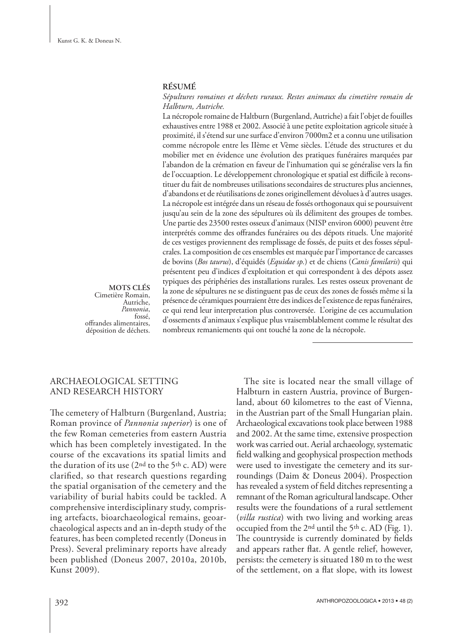#### **RÉSUMÉ**

#### *Sépultures romaines et déchets ruraux. Restes animaux du cimetière romain de Halbturn, Autriche.*

La nécropole romaine de Haltburn (Burgenland, Autriche) a fait l'objet de fouilles exhaustives entre 1988 et 2002. Associé à une petite exploitation agricole située à proximité, il s'étend sur une surface d'environ 7000m2 et a connu une utilisation comme nécropole entre les IIème et Vème siècles. L'étude des structures et du mobilier met en évidence une évolution des pratiques funéraires marquées par l'abandon de la crémation en faveur de l'inhumation qui se généralise vers la fin de l'occuaption. Le développement chronologique et spatial est difficile à reconstituer du fait de nombreuses utilisations secondaires de structures plus anciennes, d'abandons et de réutilisations de zones originellement dévolues à d'autres usages. La nécropole est intégrée dans un réseau de fossés orthogonaux qui se poursuivent jusqu'au sein de la zone des sépultures où ils délimitent des groupes de tombes. Une partie des 23500 restes osseux d'animaux (NISP environ 6000) peuvent être interprétés comme des offrandes funéraires ou des dépots rituels. Une majorité de ces vestiges proviennent des remplissage de fossés, de puits et des fosses sépulcrales. La composition de ces ensembles est marquée par l'importance de carcasses de bovins (*Bos taurus*), d'équidés (*Equidae sp.*) et de chiens (*Canis familaris*) qui présentent peu d'indices d'exploitation et qui correspondent à des dépots assez typiques des périphéries des installations rurales. Les restes osseux provenant de la zone de sépultures ne se distinguent pas de ceux des zones de fossés même si la présence de céramiques pourraient être des indices de l'existence de repas funéraires, ce qui rend leur interpretation plus controversée. L'origine de ces accumulation d'ossements d'animaux s'explique plus vraisemblablement comme le résultat des nombreux remaniements qui ont touché la zone de la nécropole.

**MOTS CLÉS**  Cimetière Romain, Autriche, *Pannonia*, fossé, offrandes alimentaires, déposition de déchets.

## ARCHAEOLOGICAL SETTING AND RESEARCH HISTORY

The cemetery of Halbturn (Burgenland, Austria; Roman province of *Pannonia superior*) is one of the few Roman cemeteries from eastern Austria which has been completely investigated. In the course of the excavations its spatial limits and the duration of its use (2nd to the 5th c. AD) were clarified, so that research questions regarding the spatial organisation of the cemetery and the variability of burial habits could be tackled. A comprehensive interdisciplinary study, comprising artefacts, bioarchaeological remains, geoarchaeological aspects and an in-depth study of the features, has been completed recently (Doneus in Press). Several preliminary reports have already been published (Doneus 2007, 2010a, 2010b, Kunst 2009).

The site is located near the small village of Halbturn in eastern Austria, province of Burgenland, about 60 kilometres to the east of Vienna, in the Austrian part of the Small Hungarian plain. Archaeological excavations took place between 1988 and 2002. At the same time, extensive prospection work was carried out. Aerial archaeology, systematic field walking and geophysical prospection methods were used to investigate the cemetery and its surroundings (Daim & Doneus 2004). Prospection has revealed a system of field ditches representing a remnant of the Roman agricultural landscape. Other results were the foundations of a rural settlement (*villa rustica*) with two living and working areas occupied from the 2nd until the 5th c. AD (Fig. 1). The countryside is currently dominated by fields and appears rather flat. A gentle relief, however, persists: the cemetery is situated 180 m to the west of the settlement, on a flat slope, with its lowest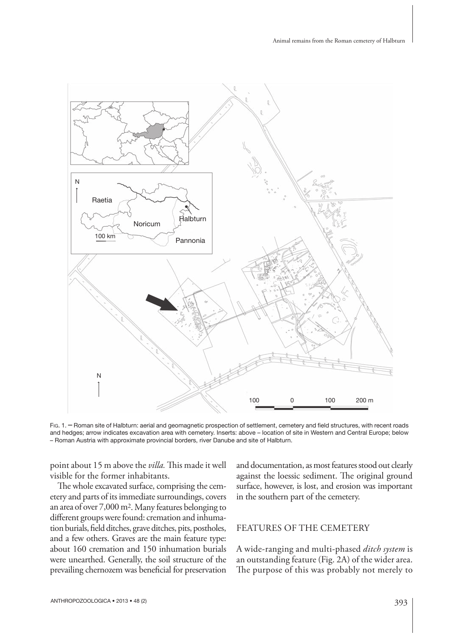

FIG. 1. – Roman site of Halbturn: aerial and geomagnetic prospection of settlement, cemetery and field structures, with recent roads and hedges; arrow indicates excavation area with cemetery. Inserts: above – location of site in Western and Central Europe; below – Roman Austria with approximate provincial borders, river Danube and site of Halbturn.

point about 15 m above the *villa*. This made it well visible for the former inhabitants.

The whole excavated surface, comprising the cemetery and parts of its immediate surroundings, covers an area of over 7,000 m2. Many features belonging to different groups were found: cremation and inhumation burials, field ditches, grave ditches, pits, postholes, and a few others. Graves are the main feature type: about 160 cremation and 150 inhumation burials were unearthed. Generally, the soil structure of the prevailing chernozem was beneficial for preservation and documentation, as most features stood out clearly against the loessic sediment. The original ground surface, however, is lost, and erosion was important in the southern part of the cemetery.

## FEATURES OF THE CEMETERY

A wide-ranging and multi-phased *ditch system* is an outstanding feature (Fig. 2A) of the wider area. The purpose of this was probably not merely to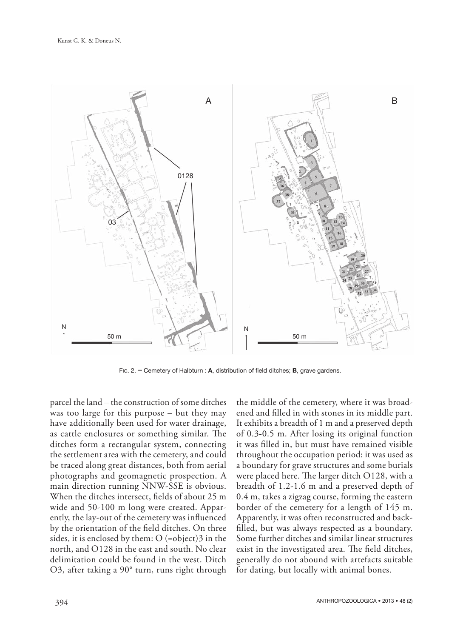

FIG. 2. – Cemetery of Halbturn : **A**, distribution of field ditches; **B**, grave gardens.

parcel the land – the construction of some ditches was too large for this purpose – but they may have additionally been used for water drainage, as cattle enclosures or something similar. The ditches form a rectangular system, connecting the settlement area with the cemetery, and could be traced along great distances, both from aerial photographs and geomagnetic prospection. A main direction running NNW-SSE is obvious. When the ditches intersect, fields of about 25 m wide and 50-100 m long were created. Apparently, the lay-out of the cemetery was influenced by the orientation of the field ditches. On three sides, it is enclosed by them: O (=object)3 in the north, and O128 in the east and south. No clear delimitation could be found in the west. Ditch O3, after taking a 90° turn, runs right through the middle of the cemetery, where it was broadened and filled in with stones in its middle part. It exhibits a breadth of 1 m and a preserved depth of 0.3-0.5 m. After losing its original function it was filled in, but must have remained visible throughout the occupation period: it was used as a boundary for grave structures and some burials were placed here. The larger ditch O128, with a breadth of 1.2-1.6 m and a preserved depth of 0.4 m, takes a zigzag course, forming the eastern border of the cemetery for a length of 145 m. Apparently, it was often reconstructed and back filled, but was always respected as a boundary. Some further ditches and similar linear structures exist in the investigated area. The field ditches, generally do not abound with artefacts suitable for dating, but locally with animal bones.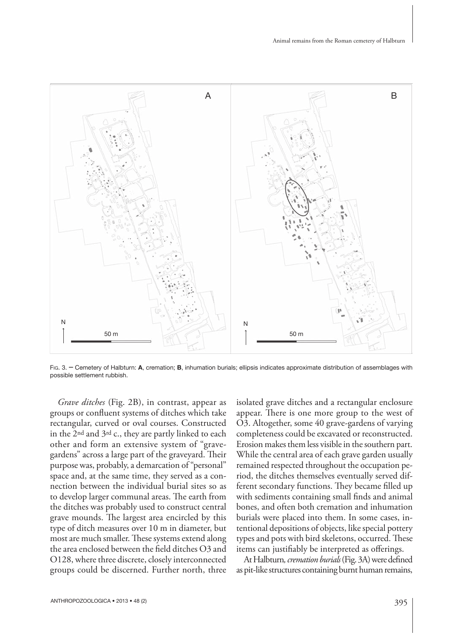

FIG. 3. – Cemetery of Halbturn: **A**, cremation; **B**, inhumation burials; ellipsis indicates approximate distribution of assemblages with possible settlement rubbish.

*Grave ditches* (Fig. 2B), in contrast, appear as groups or confluent systems of ditches which take rectangular, curved or oval courses. Constructed in the 2nd and 3rd c., they are partly linked to each other and form an extensive system of "gravegardens" across a large part of the graveyard. Their purpose was, probably, a demarcation of "personal" space and, at the same time, they served as a connection between the individual burial sites so as to develop larger communal areas. The earth from the ditches was probably used to construct central grave mounds. The largest area encircled by this type of ditch measures over 10 m in diameter, but most are much smaller. These systems extend along the area enclosed between the field ditches O3 and O128, where three discrete, closely interconnected groups could be discerned. Further north, three isolated grave ditches and a rectangular enclosure appear. There is one more group to the west of O3. Altogether, some 40 grave-gardens of varying completeness could be excavated or reconstructed. Erosion makes them less visible in the southern part. While the central area of each grave garden usually remained respected throughout the occupation period, the ditches themselves eventually served different secondary functions. They became filled up with sediments containing small finds and animal bones, and often both cremation and inhumation burials were placed into them. In some cases, intentional depositions of objects, like special pottery types and pots with bird skeletons, occurred. These items can justifiably be interpreted as offerings.

At Halbturn, *cremation burials* (Fig. 3A) were defined as pit-like structures containing burnt human remains,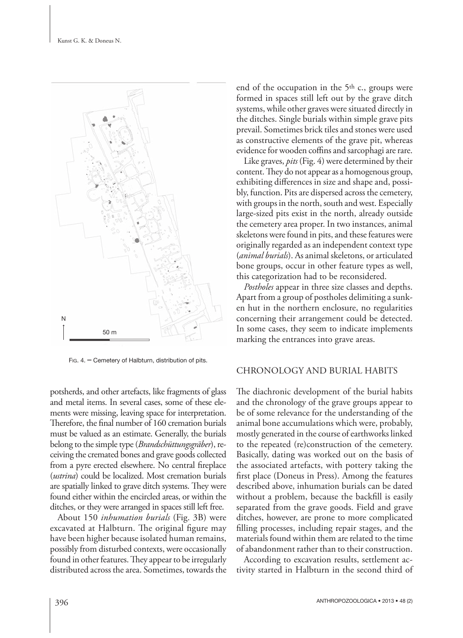

Fig. 4. – Cemetery of Halbturn, distribution of pits.

potsherds, and other artefacts, like fragments of glass and metal items. In several cases, some of these elements were missing, leaving space for interpretation. Therefore, the final number of 160 cremation burials must be valued as an estimate. Generally, the burials belong to the simple type (*Brandschüttungsgräber*), receiving the cremated bones and grave goods collected from a pyre erected elsewhere. No central fireplace (*ustrina*) could be localized. Most cremation burials are spatially linked to grave ditch systems. They were found either within the encircled areas, or within the ditches, or they were arranged in spaces still left free.

About 150 *inhumation burials* (Fig. 3B) were excavated at Halbturn. The original figure may have been higher because isolated human remains, possibly from disturbed contexts, were occasionally found in other features. They appear to be irregularly distributed across the area. Sometimes, towards the end of the occupation in the  $5<sup>th</sup>$  c., groups were formed in spaces still left out by the grave ditch systems, while other graves were situated directly in the ditches. Single burials within simple grave pits prevail. Sometimes brick tiles and stones were used as constructive elements of the grave pit, whereas evidence for wooden coffins and sarcophagi are rare.

Like graves, *pits* (Fig. 4) were determined by their content. They do not appear as a homogenous group, exhibiting differences in size and shape and, possibly, function. Pits are dispersed across the cemetery, with groups in the north, south and west. Especially large-sized pits exist in the north, already outside the cemetery area proper. In two instances, animal skeletons were found in pits, and these features were originally regarded as an independent context type (*animal burials*). As animal skeletons, or articulated bone groups, occur in other feature types as well, this categorization had to be reconsidered.

*Postholes* appear in three size classes and depths. Apart from a group of postholes delimiting a sunken hut in the northern enclosure, no regularities concerning their arrangement could be detected. In some cases, they seem to indicate implements marking the entrances into grave areas.

### CHRONOLOGY AND BURIAL HABITS

The diachronic development of the burial habits and the chronology of the grave groups appear to be of some relevance for the understanding of the animal bone accumulations which were, probably, mostly generated in the course of earthworks linked to the repeated (re)construction of the cemetery. Basically, dating was worked out on the basis of the associated artefacts, with pottery taking the first place (Doneus in Press). Among the features described above, inhumation burials can be dated without a problem, because the backfill is easily separated from the grave goods. Field and grave ditches, however, are prone to more complicated filling processes, including repair stages, and the materials found within them are related to the time of abandonment rather than to their construction.

According to excavation results, settlement activity started in Halbturn in the second third of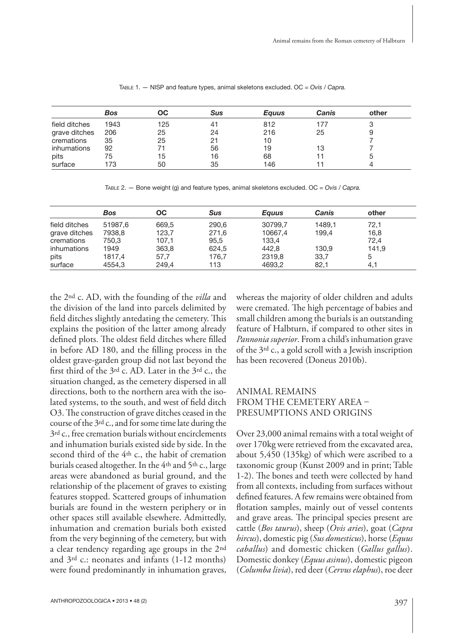|               | Bos  | OС  | Sus | <b>Eguus</b> | Canis | other |
|---------------|------|-----|-----|--------------|-------|-------|
| field ditches | 1943 | 125 | 41  | 812          | 177   |       |
| grave ditches | 206  | 25  | 24  | 216          | 25    |       |
| cremations    | 35   | 25  | 21  | 10           |       |       |
| inhumations   | 92   |     | 56  | 19           | 13    |       |
| pits          | 75   | 15  | 16  | 68           |       | b     |
| surface       | 173  | 50  | 35  | 146          |       |       |

TABLE 1. — NISP and feature types, animal skeletons excluded. OC = *Ovis / Capra.*

TABLE 2. — Bone weight (g) and feature types, animal skeletons excluded. OC = *Ovis / Capra.*

|               | Bos     | ОC    | Sus   | <b>Eauus</b> | Canis  | other |  |
|---------------|---------|-------|-------|--------------|--------|-------|--|
| field ditches | 51987.6 | 669.5 | 290.6 | 30799.7      | 1489.1 | 72.1  |  |
| grave ditches | 7938.8  | 123,7 | 271,6 | 10667.4      | 199.4  | 16,8  |  |
| cremations    | 750,3   | 107,1 | 95,5  | 133,4        |        | 72,4  |  |
| inhumations   | 1949    | 363,8 | 624.5 | 442.8        | 130,9  | 141,9 |  |
| pits          | 1817.4  | 57.7  | 176.7 | 2319.8       | 33,7   | 5     |  |
| surface       | 4554.3  | 249.4 | 113   | 4693.2       | 82.1   | 4,1   |  |

the 2nd c. AD, with the founding of the *villa* and the division of the land into parcels delimited by field ditches slightly antedating the cemetery. This explains the position of the latter among already defined plots. The oldest field ditches where filled in before AD 180, and the filling process in the oldest grave-garden group did not last beyond the first third of the  $3^{\text{rd}}$  c. AD. Later in the  $3^{\text{rd}}$  c., the situation changed, as the cemetery dispersed in all directions, both to the northern area with the isolated systems, to the south, and west of field ditch O3. The construction of grave ditches ceased in the course of the 3rd c., and for some time late during the 3<sup>rd</sup> c., free cremation burials without encirclements and inhumation burials existed side by side. In the second third of the 4th c., the habit of cremation burials ceased altogether. In the 4th and 5th c., large areas were abandoned as burial ground, and the relationship of the placement of graves to existing features stopped. Scattered groups of inhumation burials are found in the western periphery or in other spaces still available elsewhere. Admittedly, inhumation and cremation burials both existed from the very beginning of the cemetery, but with a clear tendency regarding age groups in the 2nd and 3rd c.: neonates and infants (1-12 months) were found predominantly in inhumation graves, whereas the majority of older children and adults were cremated. The high percentage of babies and small children among the burials is an outstanding feature of Halbturn, if compared to other sites in *Pannonia superior*. From a child's inhumation grave of the 3rd c., a gold scroll with a Jewish inscription has been recovered (Doneus 2010b).

# ANIMAL REMAINS FROM THE CEMETERY AREA – PRESUMPTIONS AND ORIGINS

Over 23,000 animal remains with a total weight of over 170kg were retrieved from the excavated area, about 5,450 (135kg) of which were ascribed to a taxonomic group (Kunst 2009 and in print; Table 1-2). The bones and teeth were collected by hand from all contexts, including from surfaces without defined features. A few remains were obtained from flotation samples, mainly out of vessel contents and grave areas. The principal species present are cattle (*Bos taurus*), sheep (*Ovis aries*), goat (*Capra hircus*), domestic pig (*Sus domesticus*), horse (*Equus caballus*) and domestic chicken (*Gallus gallus*). Domestic donkey (*Equus asinus*), domestic pigeon (*Columba livia*), red deer (*Cervus elaphus*), roe deer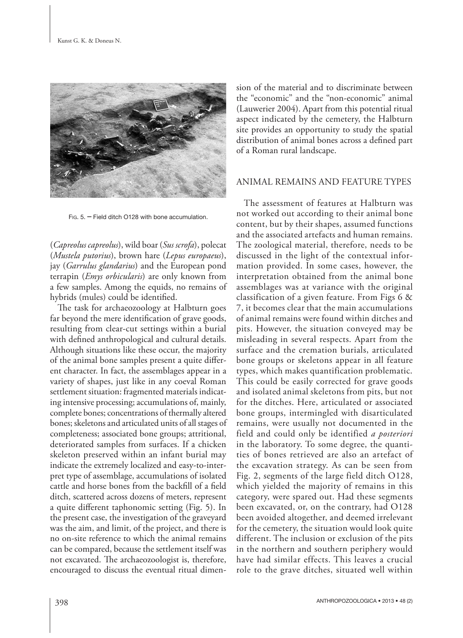

Fig. 5. – Field ditch O128 with bone accumulation.

(*Capreolus capreolus*), wild boar (*Sus scrofa*), polecat (*Mustela putorius*), brown hare (*Lepus europaeus*), jay (*Garrulus glandarius*) and the European pond terrapin (*Emys orbicularis*) are only known from a few samples. Among the equids, no remains of hybrids (mules) could be identified.

The task for archaeozoology at Halbturn goes far beyond the mere identification of grave goods, resulting from clear-cut settings within a burial with defined anthropological and cultural details. Although situations like these occur, the majority of the animal bone samples present a quite different character. In fact, the assemblages appear in a variety of shapes, just like in any coeval Roman settlement situation: fragmented materials indicating intensive processing; accumulations of, mainly, complete bones; concentrations of thermally altered bones; skeletons and articulated units of all stages of completeness; associated bone groups; attritional, deteriorated samples from surfaces. If a chicken skeleton preserved within an infant burial may indicate the extremely localized and easy-to-interpret type of assemblage, accumulations of isolated cattle and horse bones from the backfill of a field ditch, scattered across dozens of meters, represent a quite different taphonomic setting (Fig. 5). In the present case, the investigation of the graveyard was the aim, and limit, of the project, and there is no on-site reference to which the animal remains can be compared, because the settlement itself was not excavated. The archaeozoologist is, therefore, encouraged to discuss the eventual ritual dimension of the material and to discriminate between the "economic" and the "non-economic" animal (Lauwerier 2004). Apart from this potential ritual aspect indicated by the cemetery, the Halbturn site provides an opportunity to study the spatial distribution of animal bones across a defined part of a Roman rural landscape.

# ANIMAL REMAINS AND FEATURE TYPES

The assessment of features at Halbturn was not worked out according to their animal bone content, but by their shapes, assumed functions and the associated artefacts and human remains. The zoological material, therefore, needs to be discussed in the light of the contextual information provided. In some cases, however, the interpretation obtained from the animal bone assemblages was at variance with the original classification of a given feature. From Figs 6 & 7, it becomes clear that the main accumulations of animal remains were found within ditches and pits. However, the situation conveyed may be misleading in several respects. Apart from the surface and the cremation burials, articulated bone groups or skeletons appear in all feature types, which makes quantification problematic. This could be easily corrected for grave goods and isolated animal skeletons from pits, but not for the ditches. Here, articulated or associated bone groups, intermingled with disarticulated remains, were usually not documented in the field and could only be identified *a posteriori* in the laboratory. To some degree, the quantities of bones retrieved are also an artefact of the excavation strategy. As can be seen from Fig. 2, segments of the large field ditch O128, which yielded the majority of remains in this category, were spared out. Had these segments been excavated, or, on the contrary, had O128 been avoided altogether, and deemed irrelevant for the cemetery, the situation would look quite different. The inclusion or exclusion of the pits in the northern and southern periphery would have had similar effects. This leaves a crucial role to the grave ditches, situated well within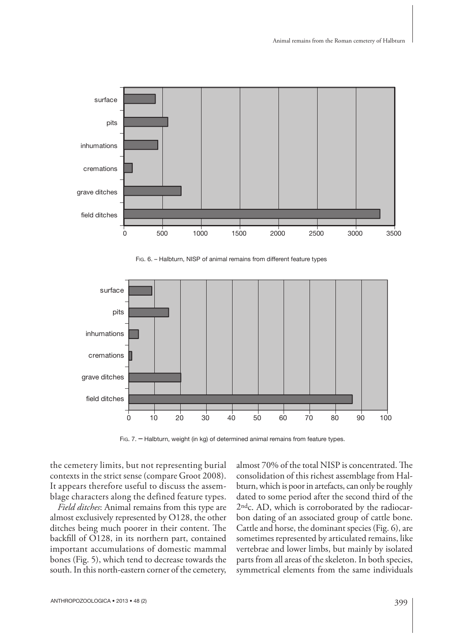

FIG. 6. - Halbturn, NISP of animal remains from different feature types



FIG. 7. - Halbturn, weight (in kg) of determined animal remains from feature types.

the cemetery limits, but not representing burial contexts in the strict sense (compare Groot 2008). It appears therefore useful to discuss the assemblage characters along the defined feature types.

*Field ditches*: Animal remains from this type are almost exclusively represented by O128, the other ditches being much poorer in their content. The backfill of O128, in its northern part, contained important accumulations of domestic mammal bones (Fig. 5), which tend to decrease towards the south. In this north-eastern corner of the cemetery, almost  $70\%$  of the total NISP is concentrated. The consolidation of this richest assemblage from Halbturn, which is poor in artefacts, can only be roughly dated to some period after the second third of the 2ndc. AD, which is corroborated by the radiocarbon dating of an associated group of cattle bone. Cattle and horse, the dominant species (Fig. 6), are sometimes represented by articulated remains, like vertebrae and lower limbs, but mainly by isolated parts from all areas of the skeleton. In both species, symmetrical elements from the same individuals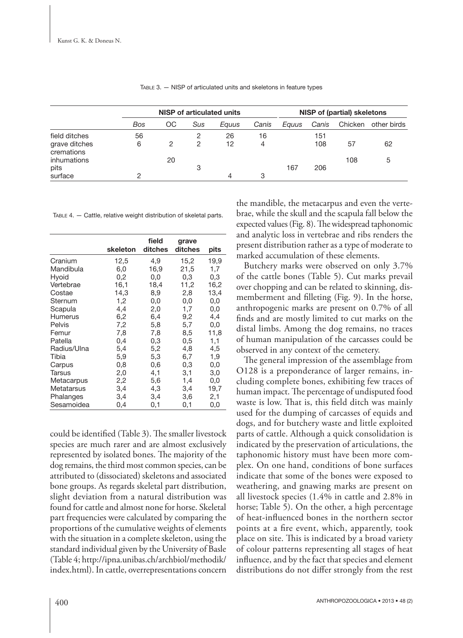|                             |     | <b>NISP of articulated units</b> |     |       |       |       | NISP of (partial) skeletons |         |             |  |
|-----------------------------|-----|----------------------------------|-----|-------|-------|-------|-----------------------------|---------|-------------|--|
|                             | Bos | OС                               | Sus | Eauus | Canis | Eauus | Canis                       | Chicken | other birds |  |
| field ditches               | 56  |                                  |     | 26    | 16    |       | 151                         |         |             |  |
| grave ditches<br>cremations | 6   | 2                                |     | 12    | 4     |       | 108                         | 57      | 62          |  |
| inhumations                 |     | 20                               |     |       |       |       |                             | 108     | 5           |  |
| pits                        |     |                                  | 3   |       |       | 167   | 206                         |         |             |  |
| surface                     |     |                                  |     |       | 3     |       |                             |         |             |  |

TABLE 3. — NISP of articulated units and skeletons in feature types

TABLE 4. — Cattle, relative weight distribution of skeletal parts.

|             | skeleton | field<br>ditches | grave<br>ditches | pits     |
|-------------|----------|------------------|------------------|----------|
| Cranium     | 12,5     | 4,9              | 15,2             | 19,9     |
| Mandibula   | 6,0      | 16,9             | 21,5             | 1,7      |
| Hyoid       | 0,2      | 0,0              | 0,3              | 0,3      |
| Vertebrae   | 16,1     | 18,4             | 11,2             | 16,2     |
| Costae      | 14,3     | 8,9              | 2,8              | 13,4     |
| Sternum     | 1,2      | 0,0              | 0,0              | 0,0      |
| Scapula     | 4,4      | 2,0              | 1,7              | 0,0      |
| Humerus     | 6,2      | 6,4              | 9,2              | 4,4      |
| Pelvis      | 7,2      | 5,8              | 5,7              | 0,0      |
| Femur       | 7,8      | 7,8              | 8,5              | 11,8     |
| Patella     | 0,4      | 0,3              | 0,5              | 1,1      |
| Radius/Ulna | 5,4      | 5,2              | 4,8              | 4,5      |
| Tibia       | 5,9      | 5,3              | 6,7              | 1,9      |
| Carpus      | 0,8      | 0,6              | 0,3              | 0,0      |
| Tarsus      | 2,0      | 4,1              | 3,1              | 3,0      |
| Metacarpus  | 2,2      | 5,6              | 1,4              | 0,0      |
| Metatarsus  | 3,4      | 4,3              | 3,4              | 19,7     |
| Phalanges   | 3,4      | 3,4              | 3,6              | 2,1      |
| Sesamoidea  | 0,4      | 0,1              | 0,1              | $_{0,0}$ |

could be identified (Table 3). The smaller livestock species are much rarer and are almost exclusively represented by isolated bones. The majority of the dog remains, the third most common species, can be attributed to (dissociated) skeletons and associated bone groups. As regards skeletal part distribution, slight deviation from a natural distribution was found for cattle and almost none for horse. Skeletal part frequencies were calculated by comparing the proportions of the cumulative weights of elements with the situation in a complete skeleton, using the standard individual given by the University of Basle (Table 4; http://ipna.unibas.ch/archbiol/methodik/ index.html). In cattle, overrepresentations concern the mandible, the metacarpus and even the vertebrae, while the skull and the scapula fall below the expected values (Fig. 8). The widespread taphonomic and analytic loss in vertebrae and ribs renders the present distribution rather as a type of moderate to marked accumulation of these elements.

Butchery marks were observed on only 3.7% of the cattle bones (Table 5). Cut marks prevail over chopping and can be related to skinning, dismemberment and filleting (Fig. 9). In the horse, anthropogenic marks are present on 0.7% of all finds and are mostly limited to cut marks on the distal limbs. Among the dog remains, no traces of human manipulation of the carcasses could be observed in any context of the cemetery.

The general impression of the assemblage from O128 is a preponderance of larger remains, including complete bones, exhibiting few traces of human impact. The percentage of undisputed food waste is low. That is, this field ditch was mainly used for the dumping of carcasses of equids and dogs, and for butchery waste and little exploited parts of cattle. Although a quick consolidation is indicated by the preservation of articulations, the taphonomic history must have been more complex. On one hand, conditions of bone surfaces indicate that some of the bones were exposed to weathering, and gnawing marks are present on all livestock species (1.4% in cattle and 2.8% in horse; Table 5). On the other, a high percentage of heat-influenced bones in the northern sector points at a fire event, which, apparently, took place on site. This is indicated by a broad variety of colour patterns representing all stages of heat influence, and by the fact that species and element distributions do not differ strongly from the rest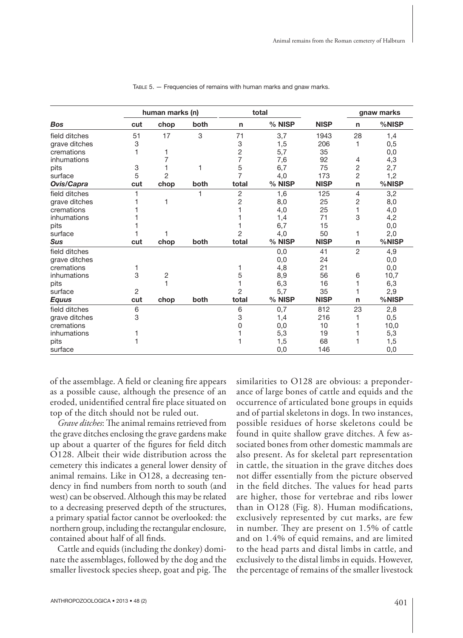|               | human marks (n) |                |      |                | total  |             | gnaw marks     |       |
|---------------|-----------------|----------------|------|----------------|--------|-------------|----------------|-------|
| <b>Bos</b>    | cut             | chop           | both | n              | % NISP | <b>NISP</b> | n              | %NISP |
| field ditches | 51              | 17             | 3    | 71             | 3,7    | 1943        | 28             | 1,4   |
| grave ditches | 3               |                |      | 3              | 1,5    | 206         | 1              | 0,5   |
| cremations    | 1               | 1              |      | 2              | 5,7    | 35          |                | 0,0   |
| inhumations   |                 | 7              |      | 7              | 7,6    | 92          | 4              | 4,3   |
| pits          | 3               | 1              | 1    | 5              | 6,7    | 75          | $\overline{2}$ | 2,7   |
| surface       | 5               | $\overline{2}$ |      | 7              | 4,0    | 173         | $\overline{2}$ | 1,2   |
| Ovis/Capra    | cut             | chop           | both | total          | % NISP | <b>NISP</b> | n              | %NISP |
| field ditches |                 |                |      | $\overline{c}$ | 1,6    | 125         | 4              | 3,2   |
| grave ditches |                 | 1              |      | 2              | 8,0    | 25          | 2              | 8,0   |
| cremations    |                 |                |      |                | 4,0    | 25          | 1              | 4,0   |
| inhumations   |                 |                |      |                | 1,4    | 71          | 3              | 4,2   |
| pits          |                 |                |      |                | 6,7    | 15          |                | 0,0   |
| surface       |                 |                |      | $\overline{2}$ | 4,0    | 50          | 1              | 2,0   |
| <b>Sus</b>    | cut             | chop           | both | total          | % NISP | <b>NISP</b> | n              | %NISP |
| field ditches |                 |                |      |                | 0,0    | 41          | $\overline{2}$ | 4,9   |
| grave ditches |                 |                |      |                | 0,0    | 24          |                | 0,0   |
| cremations    |                 |                |      | 1              | 4,8    | 21          |                | 0,0   |
| inhumations   | 3               | 2              |      | 5              | 8,9    | 56          | 6              | 10,7  |
| pits          |                 | 1              |      |                | 6,3    | 16          |                | 6,3   |
| surface       | $\overline{2}$  |                |      | $\overline{2}$ | 5,7    | 35          |                | 2,9   |
| <b>Equus</b>  | cut             | chop           | both | total          | % NISP | <b>NISP</b> | n              | %NISP |
| field ditches | 6               |                |      | 6              | 0,7    | 812         | 23             | 2,8   |
| grave ditches | 3               |                |      | 3              | 1,4    | 216         |                | 0,5   |
| cremations    |                 |                |      | 0              | 0,0    | 10          |                | 10,0  |
| inhumations   |                 |                |      |                | 5,3    | 19          |                | 5,3   |
| pits          |                 |                |      | 1              | 1,5    | 68          |                | 1,5   |
| surface       |                 |                |      |                | 0,0    | 146         |                | 0,0   |

TABLE 5. — Frequencies of remains with human marks and gnaw marks.

of the assemblage. A field or cleaning fire appears as a possible cause, although the presence of an eroded, unidentified central fire place situated on top of the ditch should not be ruled out.

*Grave ditches*: The animal remains retrieved from the grave ditches enclosing the grave gardens make up about a quarter of the figures for field ditch O128. Albeit their wide distribution across the cemetery this indicates a general lower density of animal remains. Like in O128, a decreasing tendency in find numbers from north to south (and west) can be observed. Although this may be related to a decreasing preserved depth of the structures, a primary spatial factor cannot be overlooked: the northern group, including the rectangular enclosure, contained about half of all finds.

Cattle and equids (including the donkey) dominate the assemblages, followed by the dog and the smaller livestock species sheep, goat and pig. The similarities to O128 are obvious: a preponderance of large bones of cattle and equids and the occurrence of articulated bone groups in equids and of partial skeletons in dogs. In two instances, possible residues of horse skeletons could be found in quite shallow grave ditches. A few associated bones from other domestic mammals are also present. As for skeletal part representation in cattle, the situation in the grave ditches does not differ essentially from the picture observed in the field ditches. The values for head parts are higher, those for vertebrae and ribs lower than in  $O128$  (Fig. 8). Human modifications, exclusively represented by cut marks, are few in number. They are present on 1.5% of cattle and on 1.4% of equid remains, and are limited to the head parts and distal limbs in cattle, and exclusively to the distal limbs in equids. However, the percentage of remains of the smaller livestock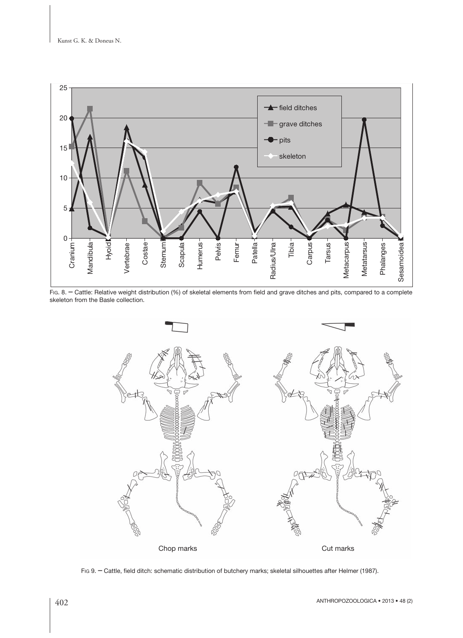

FIG. 8. – Cattle: Relative weight distribution (%) of skeletal elements from field and grave ditches and pits, compared to a complete skeleton from the Basle collection.



FIG 9. - Cattle, field ditch: schematic distribution of butchery marks; skeletal silhouettes after Helmer (1987).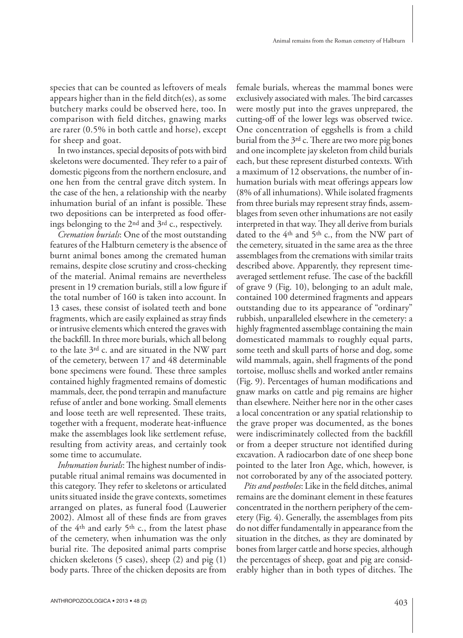species that can be counted as leftovers of meals appears higher than in the field ditch $(e<sub>s</sub>)$ , as some butchery marks could be observed here, too. In comparison with field ditches, gnawing marks are rarer (0.5% in both cattle and horse), except for sheep and goat.

In two instances, special deposits of pots with bird skeletons were documented. They refer to a pair of domestic pigeons from the northern enclosure, and one hen from the central grave ditch system. In the case of the hen, a relationship with the nearby inhumation burial of an infant is possible. These two depositions can be interpreted as food offerings belonging to the 2nd and 3rd c., respectively.

*Cremation burials*: One of the most outstanding features of the Halbturn cemetery is the absence of burnt animal bones among the cremated human remains, despite close scrutiny and cross-checking of the material. Animal remains are nevertheless present in 19 cremation burials, still a low figure if the total number of 160 is taken into account. In 13 cases, these consist of isolated teeth and bone fragments, which are easily explained as stray finds or intrusive elements which entered the graves with the backfill. In three more burials, which all belong to the late 3rd c. and are situated in the NW part of the cemetery, between 17 and 48 determinable bone specimens were found. These three samples contained highly fragmented remains of domestic mammals, deer, the pond terrapin and manufacture refuse of antler and bone working. Small elements and loose teeth are well represented. These traits, together with a frequent, moderate heat-influence make the assemblages look like settlement refuse, resulting from activity areas, and certainly took some time to accumulate.

*Inhumation burials*: The highest number of indisputable ritual animal remains was documented in this category. They refer to skeletons or articulated units situated inside the grave contexts, sometimes arranged on plates, as funeral food (Lauwerier 2002). Almost all of these finds are from graves of the 4th and early 5th c., from the latest phase of the cemetery, when inhumation was the only burial rite. The deposited animal parts comprise chicken skeletons (5 cases), sheep (2) and pig (1) body parts. Three of the chicken deposits are from female burials, whereas the mammal bones were exclusively associated with males. The bird carcasses were mostly put into the graves unprepared, the cutting-off of the lower legs was observed twice. One concentration of eggshells is from a child burial from the 3<sup>rd</sup> c. There are two more pig bones and one incomplete jay skeleton from child burials each, but these represent disturbed contexts. With a maximum of 12 observations, the number of inhumation burials with meat offerings appears low (8% of all inhumations). While isolated fragments from three burials may represent stray finds, assemblages from seven other inhumations are not easily interpreted in that way. They all derive from burials dated to the 4th and 5th c., from the NW part of the cemetery, situated in the same area as the three assemblages from the cremations with similar traits described above. Apparently, they represent timeaveraged settlement refuse. The case of the backfill of grave 9 (Fig. 10), belonging to an adult male, contained 100 determined fragments and appears outstanding due to its appearance of "ordinary" rubbish, unparalleled elsewhere in the cemetery: a highly fragmented assemblage containing the main domesticated mammals to roughly equal parts, some teeth and skull parts of horse and dog, some wild mammals, again, shell fragments of the pond tortoise, mollusc shells and worked antler remains (Fig. 9). Percentages of human modifications and gnaw marks on cattle and pig remains are higher than elsewhere. Neither here nor in the other cases a local concentration or any spatial relationship to the grave proper was documented, as the bones were indiscriminately collected from the backfill or from a deeper structure not identified during excavation. A radiocarbon date of one sheep bone pointed to the later Iron Age, which, however, is not corroborated by any of the associated pottery.

Pits and postholes: Like in the field ditches, animal remains are the dominant element in these features concentrated in the northern periphery of the cemetery (Fig. 4). Generally, the assemblages from pits do not differ fundamentally in appearance from the situation in the ditches, as they are dominated by bones from larger cattle and horse species, although the percentages of sheep, goat and pig are considerably higher than in both types of ditches. The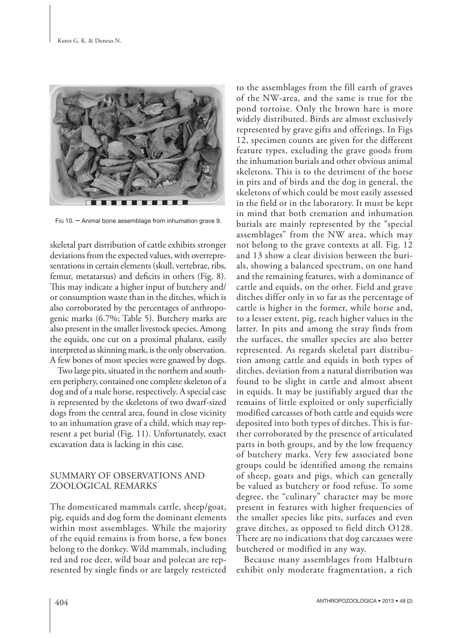

Fig 10. – Animal bone assemblage from inhumation grave 9.

skeletal part distribution of cattle exhibits stronger deviations from the expected values, with overrepresentations in certain elements (skull, vertebrae, ribs, femur, metatarsus) and deficits in others (Fig. 8). This may indicate a higher input of butchery and/ or consumption waste than in the ditches, which is also corroborated by the percentages of anthropogenic marks (6.7%; Table 5). Butchery marks are also present in the smaller livestock species. Among the equids, one cut on a proximal phalanx, easily interpreted as skinning mark, is the only observation. A few bones of most species were gnawed by dogs.

Two large pits, situated in the northern and southern periphery, contained one complete skeleton of a dog and of a male horse, respectively. A special case is represented by the skeletons of two dwarf-sized dogs from the central area, found in close vicinity to an inhumation grave of a child, which may represent a pet burial (Fig. 11). Unfortunately, exact excavation data is lacking in this case.

# SUMMARY OF OBSERVATIONS AND ZOOLOGICAL REMARKS

The domesticated mammals cattle, sheep/goat, pig, equids and dog form the dominant elements within most assemblages. While the majority of the equid remains is from horse, a few bones belong to the donkey. Wild mammals, including red and roe deer, wild boar and polecat are represented by single finds or are largely restricted

to the assemblages from the fill earth of graves of the NW-area, and the same is true for the pond tortoise. Only the brown hare is more widely distributed. Birds are almost exclusively represented by grave gifts and offerings. In Figs 12, specimen counts are given for the different feature types, excluding the grave goods from the inhumation burials and other obvious animal skeletons. This is to the detriment of the horse in pits and of birds and the dog in general, the skeletons of which could be most easily assessed in the field or in the laboratory. It must be kept in mind that both cremation and inhumation burials are mainly represented by the "special assemblages" from the NW area, which may not belong to the grave contexts at all. Fig. 12 and 13 show a clear division between the burials, showing a balanced spectrum, on one hand and the remaining features, with a dominance of cattle and equids, on the other. Field and grave ditches differ only in so far as the percentage of cattle is higher in the former, while horse and, to a lesser extent, pig, reach higher values in the latter. In pits and among the stray finds from the surfaces, the smaller species are also better represented. As regards skeletal part distribution among cattle and equids in both types of ditches, deviation from a natural distribution was found to be slight in cattle and almost absent in equids. It may be justifiably argued that the remains of little exploited or only superficially modified carcasses of both cattle and equids were deposited into both types of ditches. This is further corroborated by the presence of articulated parts in both groups, and by the low frequency of butchery marks. Very few associated bone groups could be identified among the remains of sheep, goats and pigs, which can generally be valued as butchery or food refuse. To some degree, the "culinary" character may be more present in features with higher frequencies of the smaller species like pits, surfaces and even grave ditches, as opposed to field ditch O128. There are no indications that dog carcasses were butchered or modified in any way.

Because many assemblages from Halbturn exhibit only moderate fragmentation, a rich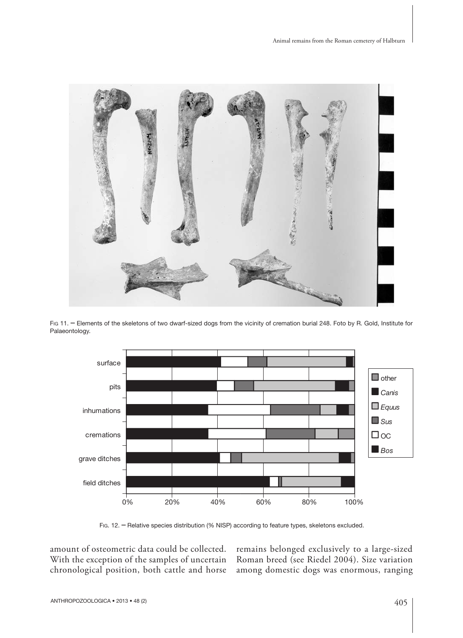

Fig 11. - Elements of the skeletons of two dwarf-sized dogs from the vicinity of cremation burial 248. Foto by R. Gold, Institute for Palaeontology.



FIG. 12. – Relative species distribution (% NISP) according to feature types, skeletons excluded.

amount of osteometric data could be collected. With the exception of the samples of uncertain chronological position, both cattle and horse remains belonged exclusively to a large-sized Roman breed (see Riedel 2004). Size variation among domestic dogs was enormous, ranging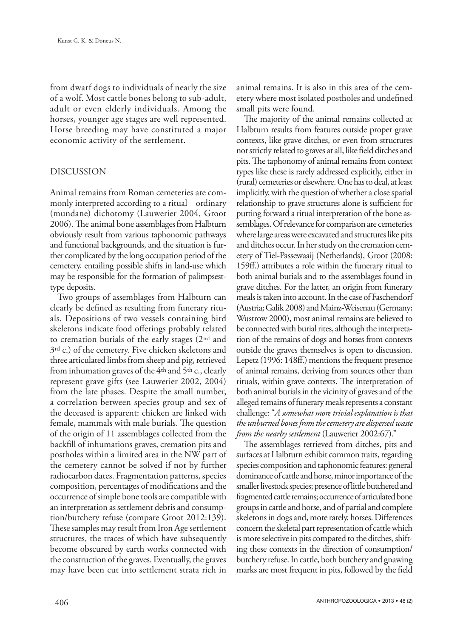from dwarf dogs to individuals of nearly the size of a wolf. Most cattle bones belong to sub-adult, adult or even elderly individuals. Among the horses, younger age stages are well represented. Horse breeding may have constituted a major economic activity of the settlement.

## DISCUSSION

Animal remains from Roman cemeteries are commonly interpreted according to a ritual – ordinary (mundane) dichotomy (Lauwerier 2004, Groot 2006). The animal bone assemblages from Halbturn obviously result from various taphonomic pathways and functional backgrounds, and the situation is further complicated by the long occupation period of the cemetery, entailing possible shifts in land-use which may be responsible for the formation of palimpsesttype deposits.

Two groups of assemblages from Halbturn can clearly be defined as resulting from funerary rituals. Depositions of two vessels containing bird skeletons indicate food offerings probably related to cremation burials of the early stages (2nd and 3<sup>rd</sup> c.) of the cemetery. Five chicken skeletons and three articulated limbs from sheep and pig, retrieved from inhumation graves of the 4th and 5th c., clearly represent grave gifts (see Lauwerier 2002, 2004) from the late phases. Despite the small number, a correlation between species group and sex of the deceased is apparent: chicken are linked with female, mammals with male burials. The question of the origin of 11 assemblages collected from the backfill of inhumations graves, cremation pits and postholes within a limited area in the NW part of the cemetery cannot be solved if not by further radiocarbon dates. Fragmentation patterns, species composition, percentages of modifications and the occurrence of simple bone tools are compatible with an interpretation as settlement debris and consumption/butchery refuse (compare Groot 2012:139). These samples may result from Iron Age settlement structures, the traces of which have subsequently become obscured by earth works connected with the construction of the graves. Eventually, the graves may have been cut into settlement strata rich in

animal remains. It is also in this area of the cemetery where most isolated postholes and undefined small pits were found.

The majority of the animal remains collected at Halbturn results from features outside proper grave contexts, like grave ditches, or even from structures not strictly related to graves at all, like field ditches and pits. The taphonomy of animal remains from context types like these is rarely addressed explicitly, either in (rural) cemeteries or elsewhere. One has to deal, at least implicitly, with the question of whether a close spatial relationship to grave structures alone is sufficient for putting forward a ritual interpretation of the bone assemblages. Of relevance for comparison are cemeteries where large areas were excavated and structures like pits and ditches occur. In her study on the cremation cemetery of Tiel-Passewaaij (Netherlands), Groot (2008: 159ff.) attributes a role within the funerary ritual to both animal burials and to the assemblages found in grave ditches. For the latter, an origin from funerary meals is taken into account. In the case of Faschendorf (Austria; Galik 2008) and Mainz-Weisenau (Germany; Wustrow 2000), most animal remains are believed to be connected with burial rites, although the interpretation of the remains of dogs and horses from contexts outside the graves themselves is open to discussion. Lepetz (1996: 148ff.) mentions the frequent presence of animal remains, deriving from sources other than rituals, within grave contexts. The interpretation of both animal burials in the vicinity of graves and of the alleged remains of funerary meals represents a constant challenge: "*A somewhat more trivial explanation is that the unburned bones from the cemetery are dispersed waste from the nearby settlement* (Lauwerier 2002:67)."

The assemblages retrieved from ditches, pits and surfaces at Halbturn exhibit common traits, regarding species composition and taphonomic features: general dominance of cattle and horse, minor importance of the smaller livestock species; presence of little butchered and fragmented cattle remains; occurrence of articulated bone groups in cattle and horse, and of partial and complete skeletons in dogs and, more rarely, horses. Differences concern the skeletal part representation of cattle which is more selective in pits compared to the ditches, shifting these contexts in the direction of consumption/ butchery refuse. In cattle, both butchery and gnawing marks are most frequent in pits, followed by the field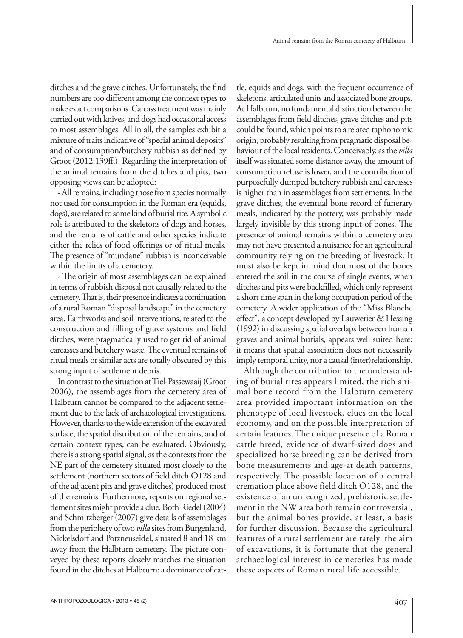ditches and the grave ditches. Unfortunately, the find numbers are too different among the context types to make exact comparisons. Carcass treatment was mainly carried out with knives, and dogs had occasional access to most assemblages. All in all, the samples exhibit a mixture of traits indicative of "special animal deposits" and of consumption/butchery rubbish as defined by Groot (2012:139ff.). Regarding the interpretation of the animal remains from the ditches and pits, two opposing views can be adopted:

- All remains, including those from species normally not used for consumption in the Roman era (equids, dogs), are related to some kind of burial rite. A symbolic role is attributed to the skeletons of dogs and horses, and the remains of cattle and other species indicate either the relics of food offerings or of ritual meals. The presence of "mundane" rubbish is inconceivable within the limits of a cemetery.

- The origin of most assemblages can be explained in terms of rubbish disposal not causally related to the cemetery. That is, their presence indicates a continuation of a rural Roman "disposal landscape" in the cemetery area. Earthworks and soil interventions, related to the construction and filling of grave systems and field ditches, were pragmatically used to get rid of animal carcasses and butchery waste. The eventual remains of ritual meals or similar acts are totally obscured by this strong input of settlement debris.

In contrast to the situation at Tiel-Passewaaij (Groot 2006), the assemblages from the cemetery area of Halbturn cannot be compared to the adjacent settlement due to the lack of archaeological investigations. However, thanks to the wide extension of the excavated surface, the spatial distribution of the remains, and of certain context types, can be evaluated. Obviously, there is a strong spatial signal, as the contexts from the NE part of the cemetery situated most closely to the settlement (northern sectors of field ditch O128 and of the adjacent pits and grave ditches) produced most of the remains. Furthermore, reports on regional settlement sites might provide a clue. Both Riedel (2004) and Schmitzberger (2007) give details of assemblages from the periphery of two *villa* sites from Burgenland, Nickelsdorf and Potzneuseidel, situated 8 and 18 km away from the Halbturn cemetery. The picture conveyed by these reports closely matches the situation found in the ditches at Halbturn: a dominance of cattle, equids and dogs, with the frequent occurrence of skeletons, articulated units and associated bone groups. At Halbturn, no fundamental distinction between the assemblages from field ditches, grave ditches and pits could be found, which points to a related taphonomic origin, probably resulting from pragmatic disposal behaviour of the local residents. Conceivably, as the *villa* itself was situated some distance away, the amount of consumption refuse is lower, and the contribution of purposefully dumped butchery rubbish and carcasses is higher than in assemblages from settlements. In the grave ditches, the eventual bone record of funerary meals, indicated by the pottery, was probably made largely invisible by this strong input of bones. The presence of animal remains within a cemetery area may not have presented a nuisance for an agricultural community relying on the breeding of livestock. It must also be kept in mind that most of the bones entered the soil in the course of single events, when ditches and pits were backfilled, which only represent a short time span in the long occupation period of the cemetery. A wider application of the "Miss Blanche effect", a concept developed by Lauwerier & Hessing (1992) in discussing spatial overlaps between human graves and animal burials, appears well suited here: it means that spatial association does not necessarily imply temporal unity, nor a causal (inter)relationship.

Although the contribution to the understanding of burial rites appears limited, the rich animal bone record from the Halbturn cemetery area provided important information on the phenotype of local livestock, clues on the local economy, and on the possible interpretation of certain features. The unique presence of a Roman cattle breed, evidence of dwarf-sized dogs and specialized horse breeding can be derived from bone measurements and age-at death patterns, respectively. The possible location of a central cremation place above field ditch O128, and the existence of an unrecognized, prehistoric settlement in the NW area both remain controversial, but the animal bones provide, at least, a basis for further discussion. Because the agricultural features of a rural settlement are rarely the aim of excavations, it is fortunate that the general archaeological interest in cemeteries has made these aspects of Roman rural life accessible.